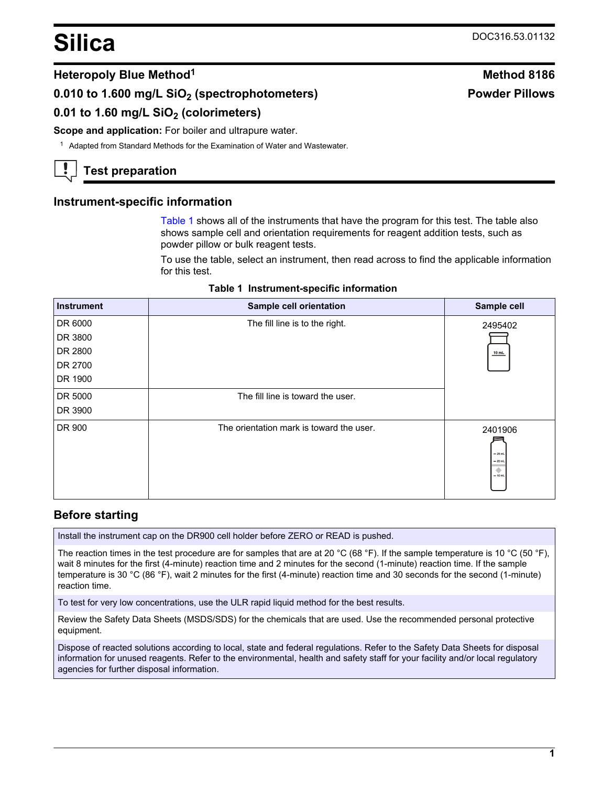## <span id="page-0-0"></span>**Silica** DOC316.53.01132

## **Heteropoly Blue Method<sup>1</sup> Method 8186**

## **0.010 to 1.600 mg/L SiO2 (spectrophotometers)**

## **0.01 to 1.60 mg/L SiO2 (colorimeters)**

### **Scope and application:** For boiler and ultrapure water.

<sup>1</sup> Adapted from Standard Methods for the Examination of Water and Wastewater.

## **Test preparation**

## **Instrument-specific information**

Table 1 shows all of the instruments that have the program for this test. The table also shows sample cell and orientation requirements for reagent addition tests, such as powder pillow or bulk reagent tests.

To use the table, select an instrument, then read across to find the applicable information for this test.

| <b>Instrument</b> | Sample cell orientation                  | Sample cell                                        |
|-------------------|------------------------------------------|----------------------------------------------------|
| DR 6000           | The fill line is to the right.           | 2495402                                            |
| DR 3800           |                                          |                                                    |
| DR 2800           |                                          | $10$ mL                                            |
| DR 2700           |                                          |                                                    |
| DR 1900           |                                          |                                                    |
| DR 5000           | The fill line is toward the user.        |                                                    |
| DR 3900           |                                          |                                                    |
| DR 900            | The orientation mark is toward the user. | 2401906<br>$-25$ mL<br>$= 20$ mL<br>۰<br>$= 10$ mL |

## **Before starting**

Install the instrument cap on the DR900 cell holder before ZERO or READ is pushed.

The reaction times in the test procedure are for samples that are at 20 °C (68 °F). If the sample temperature is 10 °C (50 °F), wait 8 minutes for the first (4-minute) reaction time and 2 minutes for the second (1-minute) reaction time. If the sample temperature is 30 °C (86 °F), wait 2 minutes for the first (4-minute) reaction time and 30 seconds for the second (1-minute) reaction time.

To test for very low concentrations, use the ULR rapid liquid method for the best results.

Review the Safety Data Sheets (MSDS/SDS) for the chemicals that are used. Use the recommended personal protective equipment.

Dispose of reacted solutions according to local, state and federal regulations. Refer to the Safety Data Sheets for disposal information for unused reagents. Refer to the environmental, health and safety staff for your facility and/or local regulatory agencies for further disposal information.

# **Powder Pillows**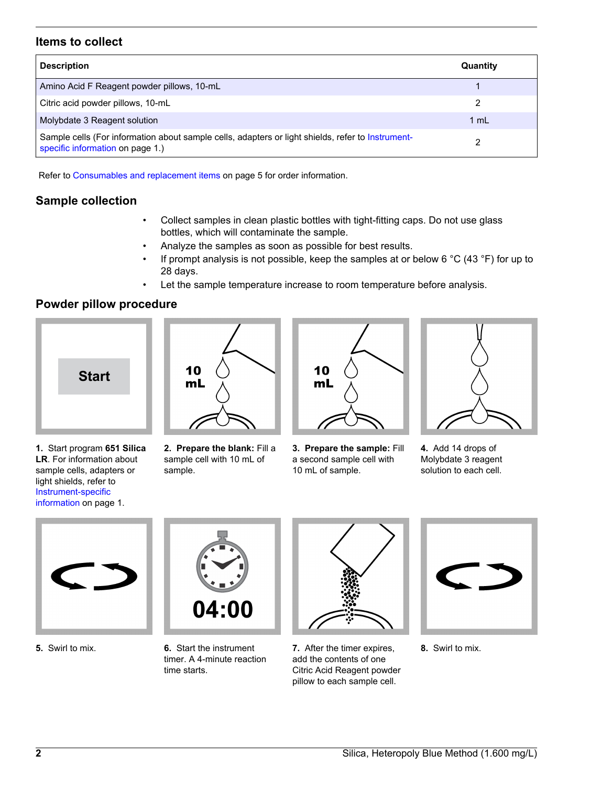#### **Items to collect**

| <b>Description</b>                                                                                                                    | Quantity |
|---------------------------------------------------------------------------------------------------------------------------------------|----------|
| Amino Acid F Reagent powder pillows, 10-mL                                                                                            |          |
| Citric acid powder pillows, 10-mL                                                                                                     | 2        |
| Molybdate 3 Reagent solution                                                                                                          | 1 mL     |
| Sample cells (For information about sample cells, adapters or light shields, refer to Instrument-<br>specific information on page 1.) |          |

Refer to [Consumables and replacement items](#page-4-0) on page 5 for order information.

#### **Sample collection**

- Collect samples in clean plastic bottles with tight-fitting caps. Do not use glass bottles, which will contaminate the sample.
- Analyze the samples as soon as possible for best results.
- If prompt analysis is not possible, keep the samples at or below 6 °C (43 °F) for up to 28 days.
- Let the sample temperature increase to room temperature before analysis.

#### **Powder pillow procedure**



**1.** Start program **651 Silica LR**. For information about sample cells, adapters or light shields, refer to [Instrument-specific](#page-0-0) [information](#page-0-0) on page 1.



**2. Prepare the blank:** Fill a sample cell with 10 mL of sample.



**3. Prepare the sample:** Fill a second sample cell with 10 mL of sample.



**4.** Add 14 drops of Molybdate 3 reagent solution to each cell.





**5.** Swirl to mix. **6.** Start the instrument timer. A 4-minute reaction time starts.



**7.** After the timer expires, add the contents of one Citric Acid Reagent powder pillow to each sample cell.



**8.** Swirl to mix.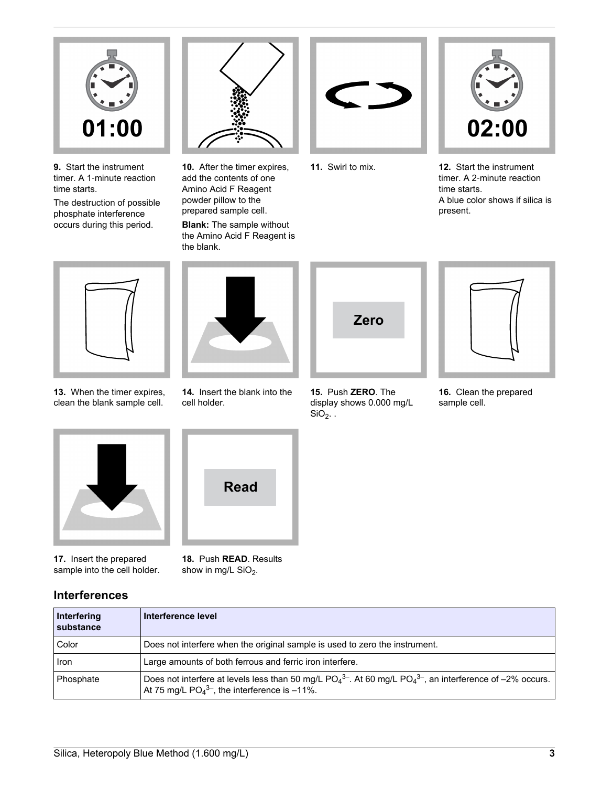

**9.** Start the instrument timer. A 1‑minute reaction time starts.

The destruction of possible phosphate interference occurs during this period.



**10.** After the timer expires, add the contents of one Amino Acid F Reagent powder pillow to the prepared sample cell.

**Blank:** The sample without the Amino Acid F Reagent is the blank.





**11.** Swirl to mix. **12.** Start the instrument timer. A 2‑minute reaction time starts. A blue color shows if silica is present.



**13.** When the timer expires, clean the blank sample cell.



**14.** Insert the blank into the cell holder.



**15.** Push **ZERO**. The display shows 0.000 mg/L

 $SiO<sub>2</sub>$ .



**16.** Clean the prepared sample cell.



**17.** Insert the prepared sample into the cell holder.



**18.** Push **READ**. Results show in mg/L  $SiO<sub>2</sub>$ .

#### **Interferences**

| Interfering<br>substance | Interference level                                                                                                                                                   |
|--------------------------|----------------------------------------------------------------------------------------------------------------------------------------------------------------------|
| Color                    | Does not interfere when the original sample is used to zero the instrument.                                                                                          |
| Iron                     | Large amounts of both ferrous and ferric iron interfere.                                                                                                             |
| Phosphate                | Does not interfere at levels less than 50 mg/L $PO_4^3$ . At 60 mg/L $PO_4^3$ , an interference of -2% occurs.<br>At 75 mg/L $PO_4^{3-}$ , the interference is -11%. |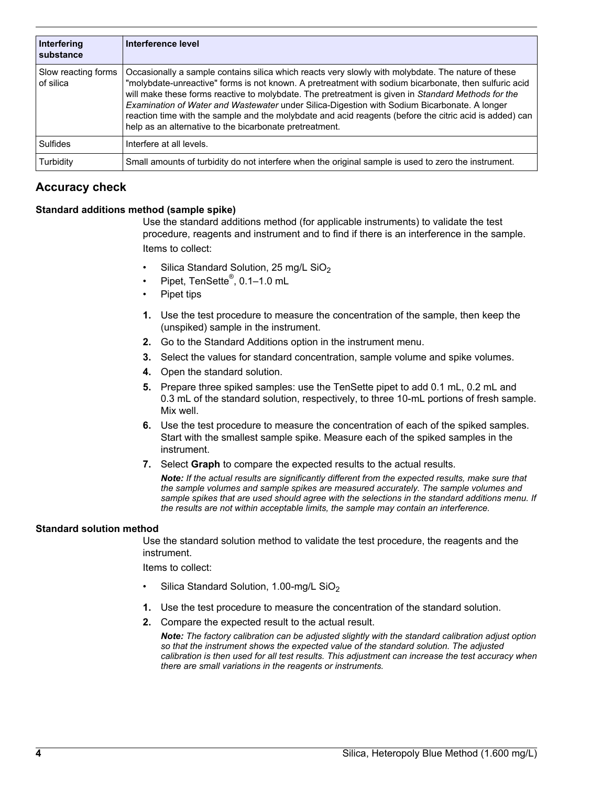| Interfering<br>substance         | Interference level                                                                                                                                                                                                                                                                                                                                                                                                                                                                                                                                                                      |
|----------------------------------|-----------------------------------------------------------------------------------------------------------------------------------------------------------------------------------------------------------------------------------------------------------------------------------------------------------------------------------------------------------------------------------------------------------------------------------------------------------------------------------------------------------------------------------------------------------------------------------------|
| Slow reacting forms<br>of silica | Occasionally a sample contains silica which reacts very slowly with molybdate. The nature of these<br>"molybdate-unreactive" forms is not known. A pretreatment with sodium bicarbonate, then sulfuric acid<br>will make these forms reactive to molybdate. The pretreatment is given in Standard Methods for the<br>Examination of Water and Wastewater under Silica-Digestion with Sodium Bicarbonate. A longer<br>reaction time with the sample and the molybdate and acid reagents (before the citric acid is added) can<br>help as an alternative to the bicarbonate pretreatment. |
| Sulfides                         | Interfere at all levels.                                                                                                                                                                                                                                                                                                                                                                                                                                                                                                                                                                |
| Turbidity                        | Small amounts of turbidity do not interfere when the original sample is used to zero the instrument.                                                                                                                                                                                                                                                                                                                                                                                                                                                                                    |

#### **Accuracy check**

#### **Standard additions method (sample spike)**

Use the standard additions method (for applicable instruments) to validate the test procedure, reagents and instrument and to find if there is an interference in the sample. Items to collect:

- Silica Standard Solution, 25 mg/L SiO<sub>2</sub>
- Pipet, TenSette<sup>®</sup>, 0.1–1.0 mL
- Pipet tips
- **1.** Use the test procedure to measure the concentration of the sample, then keep the (unspiked) sample in the instrument.
- **2.** Go to the Standard Additions option in the instrument menu.
- **3.** Select the values for standard concentration, sample volume and spike volumes.
- **4.** Open the standard solution.
- **5.** Prepare three spiked samples: use the TenSette pipet to add 0.1 mL, 0.2 mL and 0.3 mL of the standard solution, respectively, to three 10-mL portions of fresh sample. Mix well.
- **6.** Use the test procedure to measure the concentration of each of the spiked samples. Start with the smallest sample spike. Measure each of the spiked samples in the instrument.
- **7.** Select **Graph** to compare the expected results to the actual results.

*Note: If the actual results are significantly different from the expected results, make sure that the sample volumes and sample spikes are measured accurately. The sample volumes and sample spikes that are used should agree with the selections in the standard additions menu. If the results are not within acceptable limits, the sample may contain an interference.*

#### **Standard solution method**

Use the standard solution method to validate the test procedure, the reagents and the instrument.

Items to collect:

- Silica Standard Solution, 1.00-mg/L SiO<sub>2</sub>
- **1.** Use the test procedure to measure the concentration of the standard solution.
- **2.** Compare the expected result to the actual result.

*Note: The factory calibration can be adjusted slightly with the standard calibration adjust option so that the instrument shows the expected value of the standard solution. The adjusted calibration is then used for all test results. This adjustment can increase the test accuracy when there are small variations in the reagents or instruments.*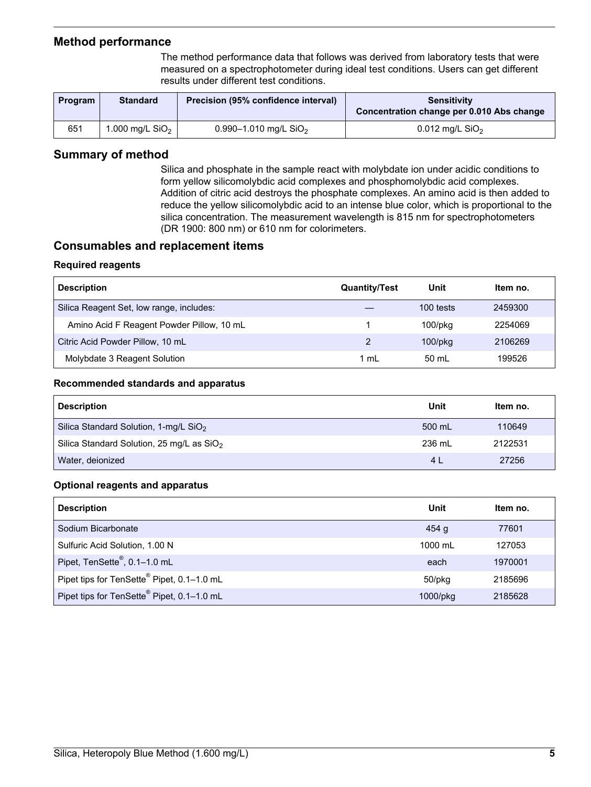#### <span id="page-4-0"></span>**Method performance**

The method performance data that follows was derived from laboratory tests that were measured on a spectrophotometer during ideal test conditions. Users can get different results under different test conditions.

| <b>Program</b> | <b>Standard</b>   | Precision (95% confidence interval) | <b>Sensitivity</b><br>Concentration change per 0.010 Abs change |  |
|----------------|-------------------|-------------------------------------|-----------------------------------------------------------------|--|
| 651            | 1.000 mg/L $SiO2$ | 0.990-1.010 mg/L SiO <sub>2</sub>   | $0.012$ mg/L SiO <sub>2</sub>                                   |  |

#### **Summary of method**

Silica and phosphate in the sample react with molybdate ion under acidic conditions to form yellow silicomolybdic acid complexes and phosphomolybdic acid complexes. Addition of citric acid destroys the phosphate complexes. An amino acid is then added to reduce the yellow silicomolybdic acid to an intense blue color, which is proportional to the silica concentration. The measurement wavelength is 815 nm for spectrophotometers (DR 1900: 800 nm) or 610 nm for colorimeters.

#### **Consumables and replacement items**

#### **Required reagents**

| <b>Description</b>                        | <b>Quantity/Test</b> | Unit          | ltem no. |
|-------------------------------------------|----------------------|---------------|----------|
| Silica Reagent Set, low range, includes:  |                      | 100 tests     | 2459300  |
| Amino Acid F Reagent Powder Pillow, 10 mL |                      | $100$ /p $ka$ | 2254069  |
| Citric Acid Powder Pillow, 10 mL          |                      | $100$ /p $kg$ | 2106269  |
| Molybdate 3 Reagent Solution              | 1 ml                 | 50 ml         | 199526   |

#### **Recommended standards and apparatus**

| <b>Description</b>                                | Unit           | Item no. |
|---------------------------------------------------|----------------|----------|
| Silica Standard Solution, 1-mg/L SiO <sub>2</sub> | 500 mL         | 110649   |
| Silica Standard Solution, 25 mg/L as $SiO2$       | 236 mL         | 2122531  |
| Water, deionized                                  | 4 <sub>l</sub> | 27256    |

#### **Optional reagents and apparatus**

| <b>Description</b>                         | Unit     | Item no. |
|--------------------------------------------|----------|----------|
| Sodium Bicarbonate                         | 454 g    | 77601    |
| Sulfuric Acid Solution, 1.00 N             | 1000 mL  | 127053   |
| Pipet, TenSette®, 0.1-1.0 mL               | each     | 1970001  |
| Pipet tips for TenSette® Pipet, 0.1-1.0 mL | 50/pkg   | 2185696  |
| Pipet tips for TenSette® Pipet, 0.1-1.0 mL | 1000/pkg | 2185628  |